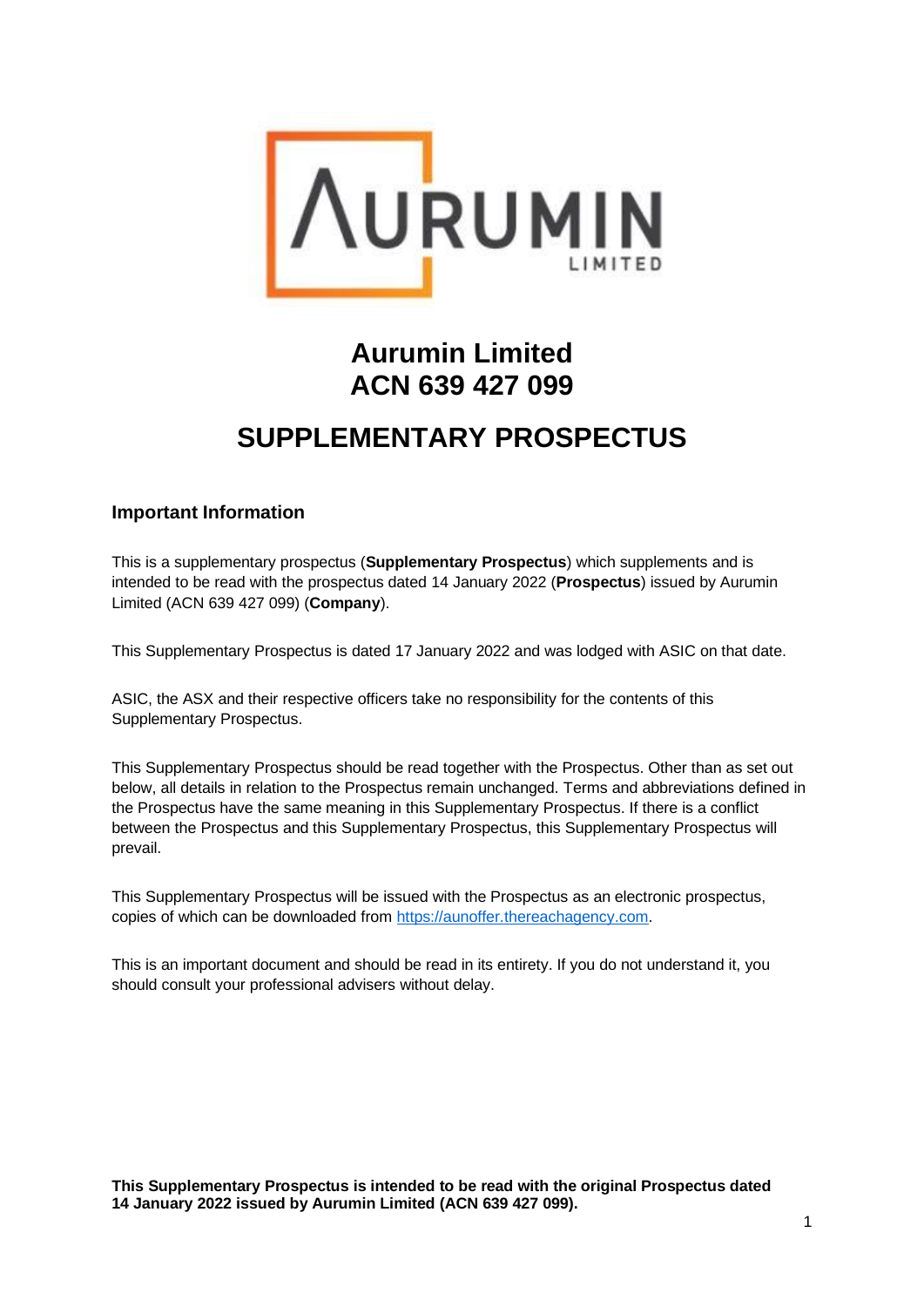

# **Aurumin Limited ACN 639 427 099**

## **SUPPLEMENTARY PROSPECTUS**

### **Important Information**

This is a supplementary prospectus (**Supplementary Prospectus**) which supplements and is intended to be read with the prospectus dated 14 January 2022 (**Prospectus**) issued by Aurumin Limited (ACN 639 427 099) (**Company**).

This Supplementary Prospectus is dated 17 January 2022 and was lodged with ASIC on that date.

ASIC, the ASX and their respective officers take no responsibility for the contents of this Supplementary Prospectus.

This Supplementary Prospectus should be read together with the Prospectus. Other than as set out below, all details in relation to the Prospectus remain unchanged. Terms and abbreviations defined in the Prospectus have the same meaning in this Supplementary Prospectus. If there is a conflict between the Prospectus and this Supplementary Prospectus, this Supplementary Prospectus will prevail.

This Supplementary Prospectus will be issued with the Prospectus as an electronic prospectus, copies of which can be downloaded from [https://aunoffer.thereachagency.com.](https://aunoffer.thereachagency.com/)

This is an important document and should be read in its entirety. If you do not understand it, you should consult your professional advisers without delay.

**This Supplementary Prospectus is intended to be read with the original Prospectus dated 14 January 2022 issued by Aurumin Limited (ACN 639 427 099).**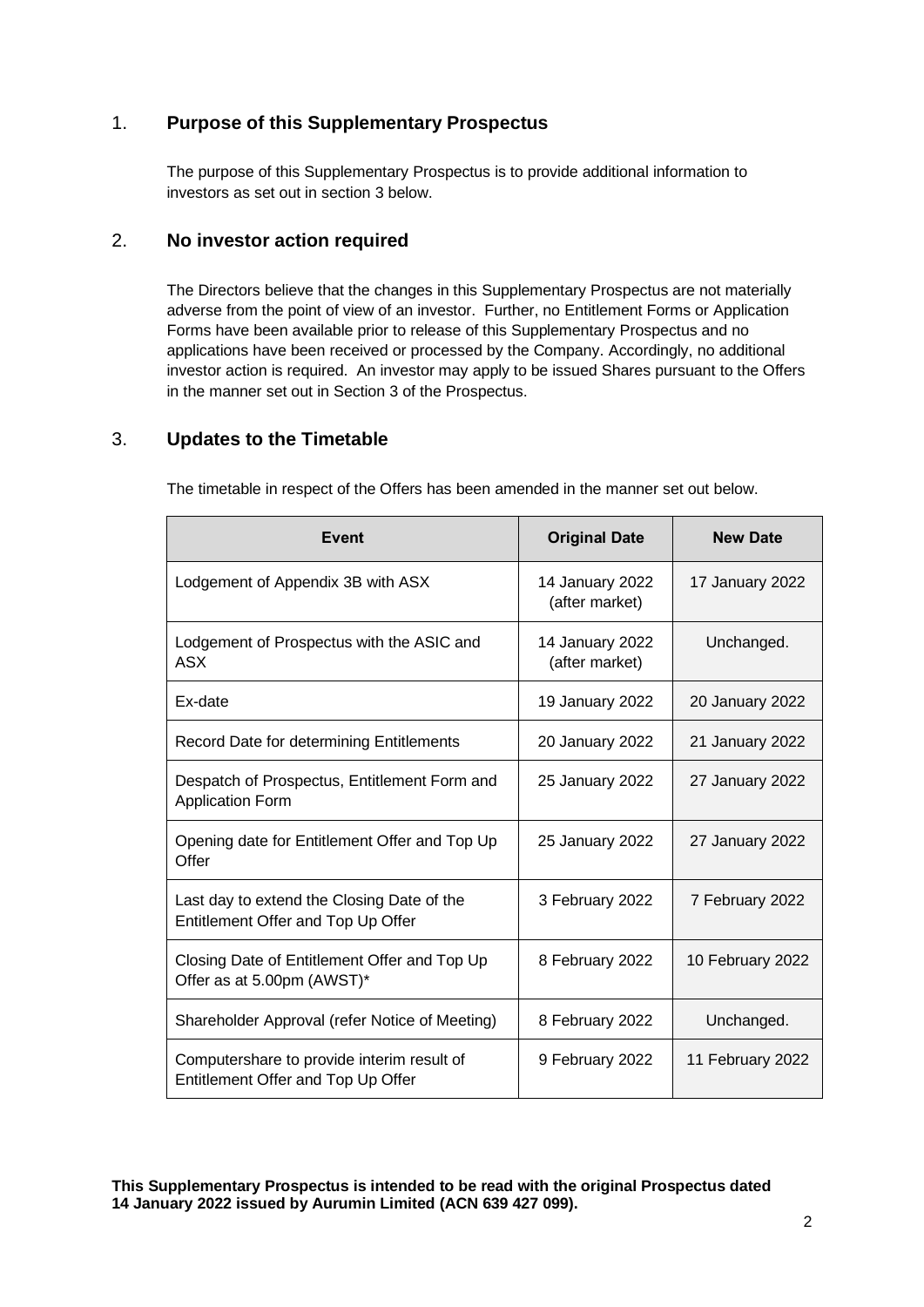### 1. **Purpose of this Supplementary Prospectus**

The purpose of this Supplementary Prospectus is to provide additional information to investors as set out in section [3](#page-1-0) below.

#### 2. **No investor action required**

The Directors believe that the changes in this Supplementary Prospectus are not materially adverse from the point of view of an investor. Further, no Entitlement Forms or Application Forms have been available prior to release of this Supplementary Prospectus and no applications have been received or processed by the Company. Accordingly, no additional investor action is required. An investor may apply to be issued Shares pursuant to the Offers in the manner set out in Section 3 of the Prospectus.

### <span id="page-1-0"></span>3. **Updates to the Timetable**

The timetable in respect of the Offers has been amended in the manner set out below.

| <b>Event</b>                                                                     | <b>Original Date</b>              | <b>New Date</b>  |
|----------------------------------------------------------------------------------|-----------------------------------|------------------|
| Lodgement of Appendix 3B with ASX                                                | 14 January 2022<br>(after market) | 17 January 2022  |
| Lodgement of Prospectus with the ASIC and<br><b>ASX</b>                          | 14 January 2022<br>(after market) | Unchanged.       |
| Ex-date                                                                          | 19 January 2022                   | 20 January 2022  |
| Record Date for determining Entitlements                                         | 20 January 2022                   | 21 January 2022  |
| Despatch of Prospectus, Entitlement Form and<br><b>Application Form</b>          | 25 January 2022                   | 27 January 2022  |
| Opening date for Entitlement Offer and Top Up<br>Offer                           | 25 January 2022                   | 27 January 2022  |
| Last day to extend the Closing Date of the<br>Entitlement Offer and Top Up Offer | 3 February 2022                   | 7 February 2022  |
| Closing Date of Entitlement Offer and Top Up<br>Offer as at 5.00pm (AWST)*       | 8 February 2022                   | 10 February 2022 |
| Shareholder Approval (refer Notice of Meeting)                                   | 8 February 2022                   | Unchanged.       |
| Computershare to provide interim result of<br>Entitlement Offer and Top Up Offer | 9 February 2022                   | 11 February 2022 |

**This Supplementary Prospectus is intended to be read with the original Prospectus dated 14 January 2022 issued by Aurumin Limited (ACN 639 427 099).**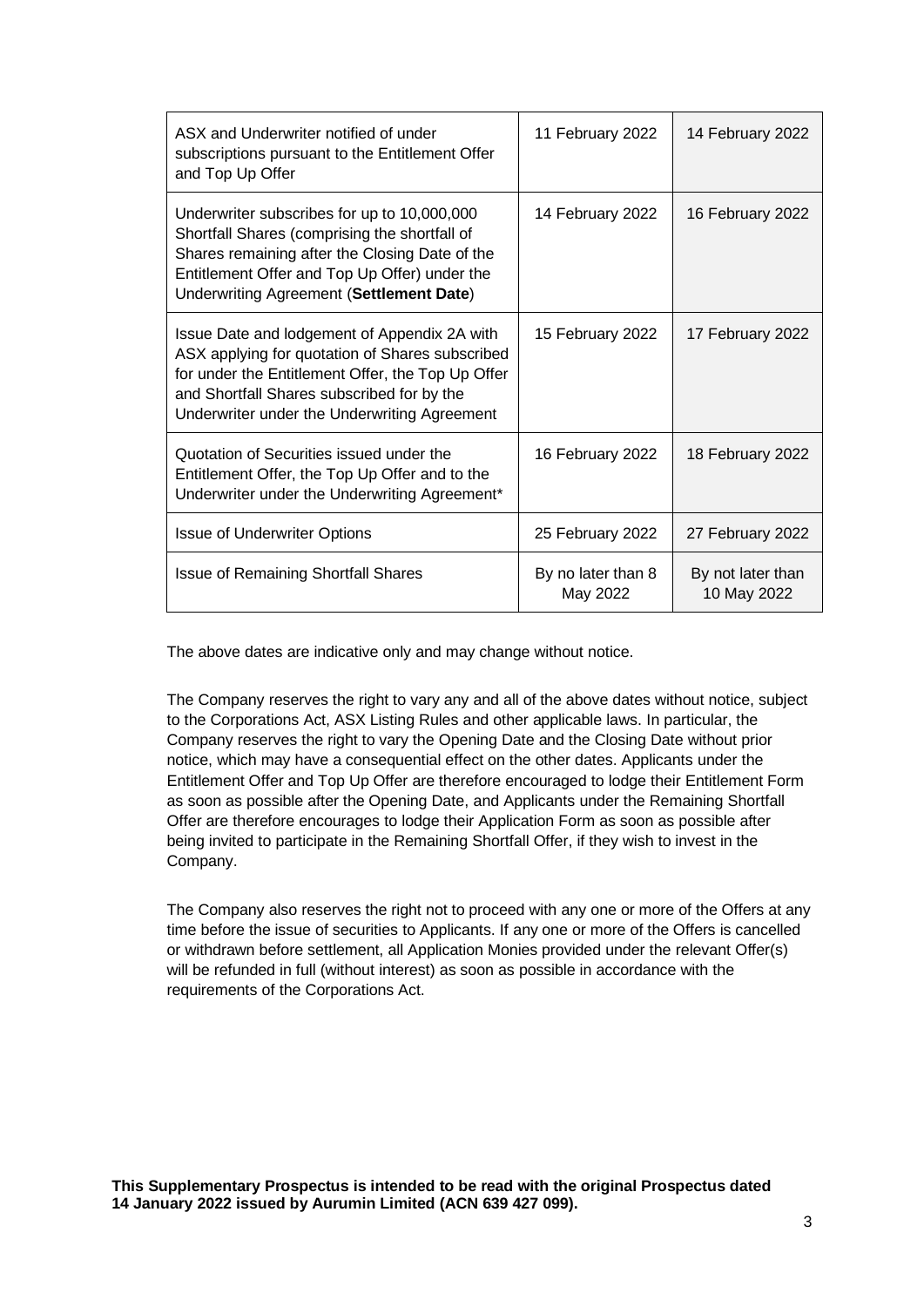| ASX and Underwriter notified of under<br>subscriptions pursuant to the Entitlement Offer<br>and Top Up Offer                                                                                                                                       | 11 February 2022               | 14 February 2022                 |
|----------------------------------------------------------------------------------------------------------------------------------------------------------------------------------------------------------------------------------------------------|--------------------------------|----------------------------------|
| Underwriter subscribes for up to 10,000,000<br>Shortfall Shares (comprising the shortfall of<br>Shares remaining after the Closing Date of the<br>Entitlement Offer and Top Up Offer) under the<br>Underwriting Agreement (Settlement Date)        | 14 February 2022               | 16 February 2022                 |
| Issue Date and lodgement of Appendix 2A with<br>ASX applying for quotation of Shares subscribed<br>for under the Entitlement Offer, the Top Up Offer<br>and Shortfall Shares subscribed for by the<br>Underwriter under the Underwriting Agreement | 15 February 2022               | 17 February 2022                 |
| Quotation of Securities issued under the<br>Entitlement Offer, the Top Up Offer and to the<br>Underwriter under the Underwriting Agreement*                                                                                                        | 16 February 2022               | 18 February 2022                 |
| <b>Issue of Underwriter Options</b>                                                                                                                                                                                                                | 25 February 2022               | 27 February 2022                 |
| <b>Issue of Remaining Shortfall Shares</b>                                                                                                                                                                                                         | By no later than 8<br>May 2022 | By not later than<br>10 May 2022 |

The above dates are indicative only and may change without notice.

The Company reserves the right to vary any and all of the above dates without notice, subject to the Corporations Act, ASX Listing Rules and other applicable laws. In particular, the Company reserves the right to vary the Opening Date and the Closing Date without prior notice, which may have a consequential effect on the other dates. Applicants under the Entitlement Offer and Top Up Offer are therefore encouraged to lodge their Entitlement Form as soon as possible after the Opening Date, and Applicants under the Remaining Shortfall Offer are therefore encourages to lodge their Application Form as soon as possible after being invited to participate in the Remaining Shortfall Offer, if they wish to invest in the Company.

The Company also reserves the right not to proceed with any one or more of the Offers at any time before the issue of securities to Applicants. If any one or more of the Offers is cancelled or withdrawn before settlement, all Application Monies provided under the relevant Offer(s) will be refunded in full (without interest) as soon as possible in accordance with the requirements of the Corporations Act.